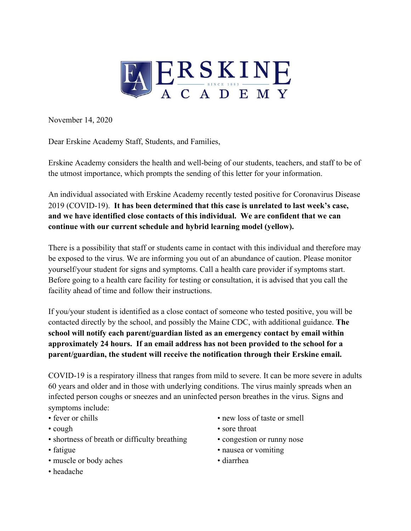

November 14, 2020

Dear Erskine Academy Staff, Students, and Families,

Erskine Academy considers the health and well-being of our students, teachers, and staff to be of the utmost importance, which prompts the sending of this letter for your information.

An individual associated with Erskine Academy recently tested positive for Coronavirus Disease 2019 (COVID-19). **It has been determined that this case is unrelated to last week's case, and we have identified close contacts of this individual. We are confident that we can continue with our current schedule and hybrid learning model (yellow).**

There is a possibility that staff or students came in contact with this individual and therefore may be exposed to the virus. We are informing you out of an abundance of caution. Please monitor yourself/your student for signs and symptoms. Call a health care provider if symptoms start. Before going to a health care facility for testing or consultation, it is advised that you call the facility ahead of time and follow their instructions.

If you/your student is identified as a close contact of someone who tested positive, you will be contacted directly by the school, and possibly the Maine CDC, with additional guidance. **The school will notify each parent/guardian listed as an emergency contact by email within approximately 24 hours. If an email address has not been provided to the school for a parent/guardian, the student will receive the notification through their Erskine email.**

COVID-19 is a respiratory illness that ranges from mild to severe. It can be more severe in adults 60 years and older and in those with underlying conditions. The virus mainly spreads when an infected person coughs or sneezes and an uninfected person breathes in the virus. Signs and symptoms include:

- 
- 
- shortness of breath or difficulty breathing congestion or runny nose
- 
- muscle or body aches diarrhea
- fever or chills new loss of taste or smell
- cough sore throat
	-
- fatigue nausea or vomiting
	-

• headache